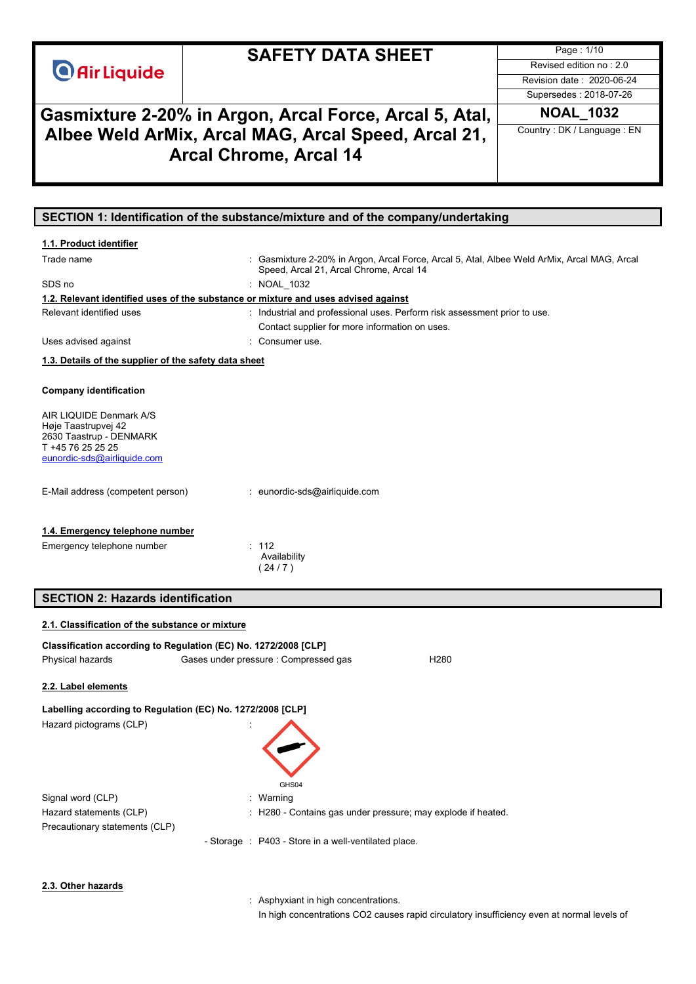|                                                            | <b>SAFETY DATA SHEET</b>                                                                    | Page: 1/10                   |
|------------------------------------------------------------|---------------------------------------------------------------------------------------------|------------------------------|
| <b>O</b> Air Liquide                                       |                                                                                             | Revised edition no: 2.0      |
|                                                            |                                                                                             | Revision date: 2020-06-24    |
|                                                            |                                                                                             | Supersedes: 2018-07-26       |
|                                                            | Gasmixture 2-20% in Argon, Arcal Force, Arcal 5, Atal,                                      | <b>NOAL 1032</b>             |
|                                                            |                                                                                             | Country : DK / Language : EN |
|                                                            | Albee Weld ArMix, Arcal MAG, Arcal Speed, Arcal 21,                                         |                              |
|                                                            | <b>Arcal Chrome, Arcal 14</b>                                                               |                              |
|                                                            |                                                                                             |                              |
|                                                            |                                                                                             |                              |
|                                                            |                                                                                             |                              |
|                                                            | SECTION 1: Identification of the substance/mixture and of the company/undertaking           |                              |
| 1.1. Product identifier                                    |                                                                                             |                              |
| Trade name                                                 | : Gasmixture 2-20% in Argon, Arcal Force, Arcal 5, Atal, Albee Weld ArMix, Arcal MAG, Arcal |                              |
|                                                            | Speed, Arcal 21, Arcal Chrome, Arcal 14                                                     |                              |
| SDS no                                                     | : NOAL 1032                                                                                 |                              |
|                                                            | 1.2. Relevant identified uses of the substance or mixture and uses advised against          |                              |
| Relevant identified uses                                   | : Industrial and professional uses. Perform risk assessment prior to use.                   |                              |
|                                                            | Contact supplier for more information on uses.                                              |                              |
| Uses advised against                                       | : Consumer use.                                                                             |                              |
| 1.3. Details of the supplier of the safety data sheet      |                                                                                             |                              |
|                                                            |                                                                                             |                              |
| <b>Company identification</b>                              |                                                                                             |                              |
|                                                            |                                                                                             |                              |
| AIR LIQUIDE Denmark A/S<br>Høje Taastrupvej 42             |                                                                                             |                              |
| 2630 Taastrup - DENMARK                                    |                                                                                             |                              |
| T +45 76 25 25 25                                          |                                                                                             |                              |
| eunordic-sds@airliquide.com                                |                                                                                             |                              |
|                                                            |                                                                                             |                              |
| E-Mail address (competent person)                          | : eunordic-sds@airliquide.com                                                               |                              |
|                                                            |                                                                                             |                              |
| 1.4. Emergency telephone number                            |                                                                                             |                              |
| Emergency telephone number                                 | : 112                                                                                       |                              |
|                                                            | Availability                                                                                |                              |
|                                                            | (24/7)                                                                                      |                              |
|                                                            |                                                                                             |                              |
| <b>SECTION 2: Hazards identification</b>                   |                                                                                             |                              |
| 2.1. Classification of the substance or mixture            |                                                                                             |                              |
|                                                            | Classification according to Regulation (EC) No. 1272/2008 [CLP]                             |                              |
| Physical hazards                                           | Gases under pressure : Compressed gas<br>H <sub>280</sub>                                   |                              |
|                                                            |                                                                                             |                              |
| 2.2. Label elements                                        |                                                                                             |                              |
| Labelling according to Regulation (EC) No. 1272/2008 [CLP] |                                                                                             |                              |
|                                                            |                                                                                             |                              |
| Hazard pictograms (CLP)                                    |                                                                                             |                              |
|                                                            |                                                                                             |                              |
|                                                            |                                                                                             |                              |
|                                                            |                                                                                             |                              |
|                                                            | GHS04                                                                                       |                              |
| Signal word (CLP)                                          | : Warning                                                                                   |                              |
| Hazard statements (CLP)                                    | : H280 - Contains gas under pressure; may explode if heated.                                |                              |
| Precautionary statements (CLP)                             |                                                                                             |                              |
|                                                            | - Storage : P403 - Store in a well-ventilated place.                                        |                              |
|                                                            |                                                                                             |                              |
|                                                            |                                                                                             |                              |

#### **2.3. Other hazards**

: Asphyxiant in high concentrations.

In high concentrations CO2 causes rapid circulatory insufficiency even at normal levels of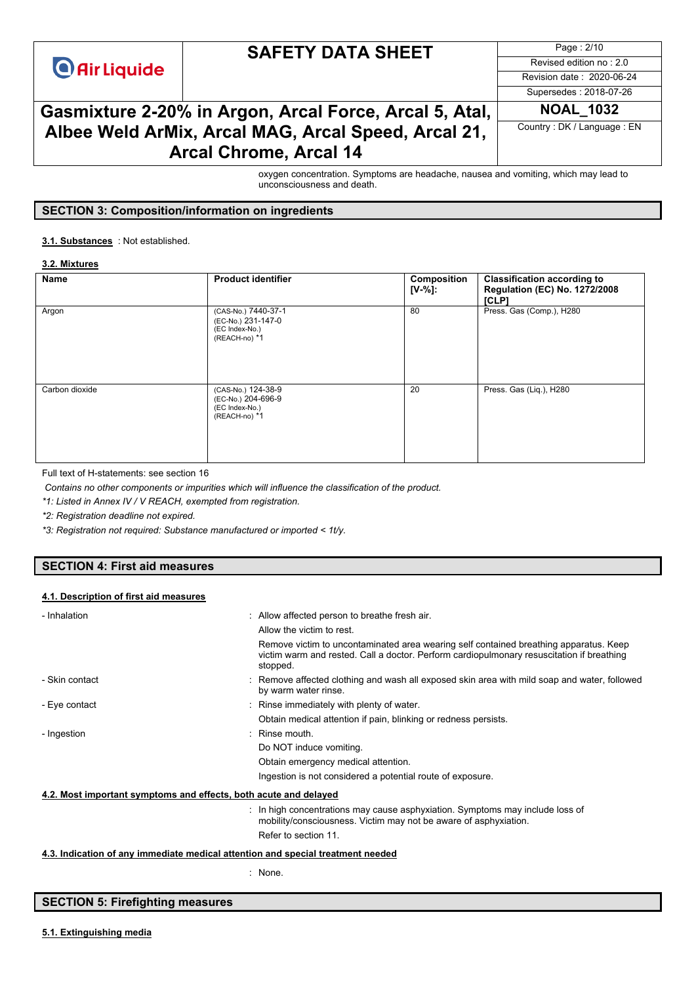## **SAFETY DATA SHEET**

Page : 2/10 Revised edition no : 2.0 Revision date : 2020-06-24

## Supersedes : 2018-07-26

## **Gasmixture 2-20% in Argon, Arcal Force, Arcal 5, Atal, NOAL\_1032 Albee Weld ArMix, Arcal MAG, Arcal Speed, Arcal 21, Arcal Chrome, Arcal 14**

Country : DK / Language : EN

oxygen concentration. Symptoms are headache, nausea and vomiting, which may lead to unconsciousness and death.

#### **SECTION 3: Composition/information on ingredients**

#### : Not established. **3.1. Substances**

#### **3.2. Mixtures**

| Name           | <b>Product identifier</b>                                                    | Composition<br>[V-%]: | <b>Classification according to</b><br><b>Regulation (EC) No. 1272/2008</b><br>[CLP] |
|----------------|------------------------------------------------------------------------------|-----------------------|-------------------------------------------------------------------------------------|
| Argon          | (CAS-No.) 7440-37-1<br>(EC-No.) 231-147-0<br>(EC Index-No.)<br>(REACH-no) *1 | 80                    | Press. Gas (Comp.), H280                                                            |
| Carbon dioxide | (CAS-No.) 124-38-9<br>(EC-No.) 204-696-9<br>(EC Index-No.)<br>(REACH-no) *1  | 20                    | Press. Gas (Liq.), H280                                                             |

Full text of H-statements: see section 16

*Contains no other components or impurities which will influence the classification of the product.*

*\*1: Listed in Annex IV / V REACH, exempted from registration.*

*\*2: Registration deadline not expired.*

*\*3: Registration not required: Substance manufactured or imported < 1t/y.*

#### **SECTION 4: First aid measures**

#### **4.1. Description of first aid measures**

| - Inhalation                                                                    | : Allow affected person to breathe fresh air.                                                                                                                                                  |
|---------------------------------------------------------------------------------|------------------------------------------------------------------------------------------------------------------------------------------------------------------------------------------------|
|                                                                                 | Allow the victim to rest.                                                                                                                                                                      |
|                                                                                 | Remove victim to uncontaminated area wearing self contained breathing apparatus. Keep<br>victim warm and rested. Call a doctor. Perform cardiopulmonary resuscitation if breathing<br>stopped. |
| - Skin contact                                                                  | : Remove affected clothing and wash all exposed skin area with mild soap and water, followed<br>by warm water rinse.                                                                           |
| - Eye contact                                                                   | : Rinse immediately with plenty of water.                                                                                                                                                      |
|                                                                                 | Obtain medical attention if pain, blinking or redness persists.                                                                                                                                |
| - Ingestion                                                                     | $:$ Rinse mouth.                                                                                                                                                                               |
|                                                                                 | Do NOT induce vomiting.                                                                                                                                                                        |
|                                                                                 | Obtain emergency medical attention.                                                                                                                                                            |
|                                                                                 | Ingestion is not considered a potential route of exposure.                                                                                                                                     |
| 4.2. Most important symptoms and effects, both acute and delayed                |                                                                                                                                                                                                |
|                                                                                 | : In high concentrations may cause asphyxiation. Symptoms may include loss of<br>mobility/consciousness. Victim may not be aware of asphyxiation.                                              |
|                                                                                 | Refer to section 11.                                                                                                                                                                           |
| 4.3. Indication of any immediate medical attention and special treatment needed |                                                                                                                                                                                                |

: None.

#### **SECTION 5: Firefighting measures**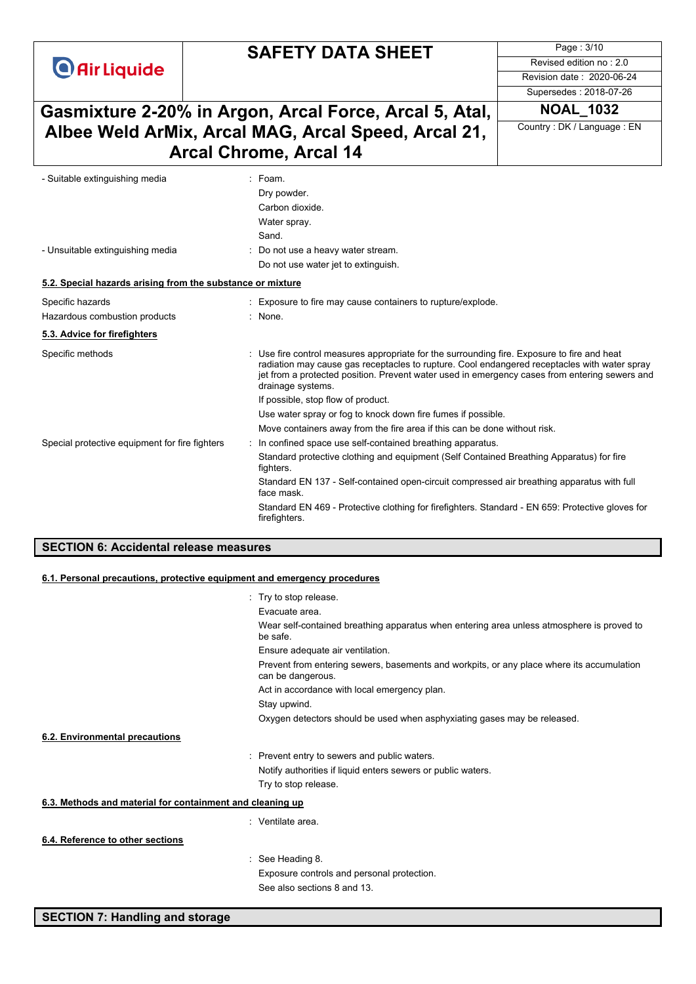# **SAFETY DATA SHEET**

Page : 3/10 Revised edition no : 2.0 Revision date : 2020-06-24

Supersedes : 2018-07-26

## **Gasmixture 2-20% in Argon, Arcal Force, Arcal 5, Atal, NOAL\_1032 Albee Weld ArMix, Arcal MAG, Arcal Speed, Arcal 21, Arcal Chrome, Arcal 14**

Country : DK / Language : EN

| - Suitable extinguishing media                             | $:$ Foam.<br>Dry powder.                                                                                                                                                                                                                                                                                        |
|------------------------------------------------------------|-----------------------------------------------------------------------------------------------------------------------------------------------------------------------------------------------------------------------------------------------------------------------------------------------------------------|
|                                                            | Carbon dioxide.                                                                                                                                                                                                                                                                                                 |
|                                                            | Water spray.                                                                                                                                                                                                                                                                                                    |
|                                                            | Sand.                                                                                                                                                                                                                                                                                                           |
| - Unsuitable extinguishing media                           | Do not use a heavy water stream.                                                                                                                                                                                                                                                                                |
|                                                            | Do not use water jet to extinguish.                                                                                                                                                                                                                                                                             |
| 5.2. Special hazards arising from the substance or mixture |                                                                                                                                                                                                                                                                                                                 |
| Specific hazards                                           | Exposure to fire may cause containers to rupture/explode.                                                                                                                                                                                                                                                       |
| Hazardous combustion products                              | : None.                                                                                                                                                                                                                                                                                                         |
| 5.3. Advice for firefighters                               |                                                                                                                                                                                                                                                                                                                 |
| Specific methods                                           | Use fire control measures appropriate for the surrounding fire. Exposure to fire and heat<br>radiation may cause gas receptacles to rupture. Cool endangered receptacles with water spray<br>jet from a protected position. Prevent water used in emergency cases from entering sewers and<br>drainage systems. |
|                                                            | If possible, stop flow of product.                                                                                                                                                                                                                                                                              |
|                                                            | Use water spray or fog to knock down fire fumes if possible.                                                                                                                                                                                                                                                    |
|                                                            | Move containers away from the fire area if this can be done without risk.                                                                                                                                                                                                                                       |
| Special protective equipment for fire fighters             | : In confined space use self-contained breathing apparatus.                                                                                                                                                                                                                                                     |
|                                                            | Standard protective clothing and equipment (Self Contained Breathing Apparatus) for fire<br>fighters.                                                                                                                                                                                                           |
|                                                            | Standard EN 137 - Self-contained open-circuit compressed air breathing apparatus with full<br>face mask.                                                                                                                                                                                                        |
|                                                            | Standard EN 469 - Protective clothing for firefighters. Standard - EN 659: Protective gloves for<br>firefighters.                                                                                                                                                                                               |
|                                                            |                                                                                                                                                                                                                                                                                                                 |

#### **SECTION 6: Accidental release measures**

#### **6.1. Personal precautions, protective equipment and emergency procedures**

|                                                           | : Try to stop release.                                                                                         |
|-----------------------------------------------------------|----------------------------------------------------------------------------------------------------------------|
|                                                           | Evacuate area.                                                                                                 |
|                                                           | Wear self-contained breathing apparatus when entering area unless atmosphere is proved to<br>be safe.          |
|                                                           | Ensure adequate air ventilation.                                                                               |
|                                                           | Prevent from entering sewers, basements and workpits, or any place where its accumulation<br>can be dangerous. |
|                                                           | Act in accordance with local emergency plan.                                                                   |
|                                                           | Stay upwind.                                                                                                   |
|                                                           | Oxygen detectors should be used when asphyxiating gases may be released.                                       |
| 6.2. Environmental precautions                            |                                                                                                                |
|                                                           | : Prevent entry to sewers and public waters.                                                                   |
|                                                           | Notify authorities if liquid enters sewers or public waters.                                                   |
|                                                           | Try to stop release.                                                                                           |
| 6.3. Methods and material for containment and cleaning up |                                                                                                                |
|                                                           | : Ventilate area.                                                                                              |
| 6.4. Reference to other sections                          |                                                                                                                |
|                                                           | : See Heading 8.                                                                                               |
|                                                           | Exposure controls and personal protection.                                                                     |
|                                                           | See also sections 8 and 13.                                                                                    |
|                                                           |                                                                                                                |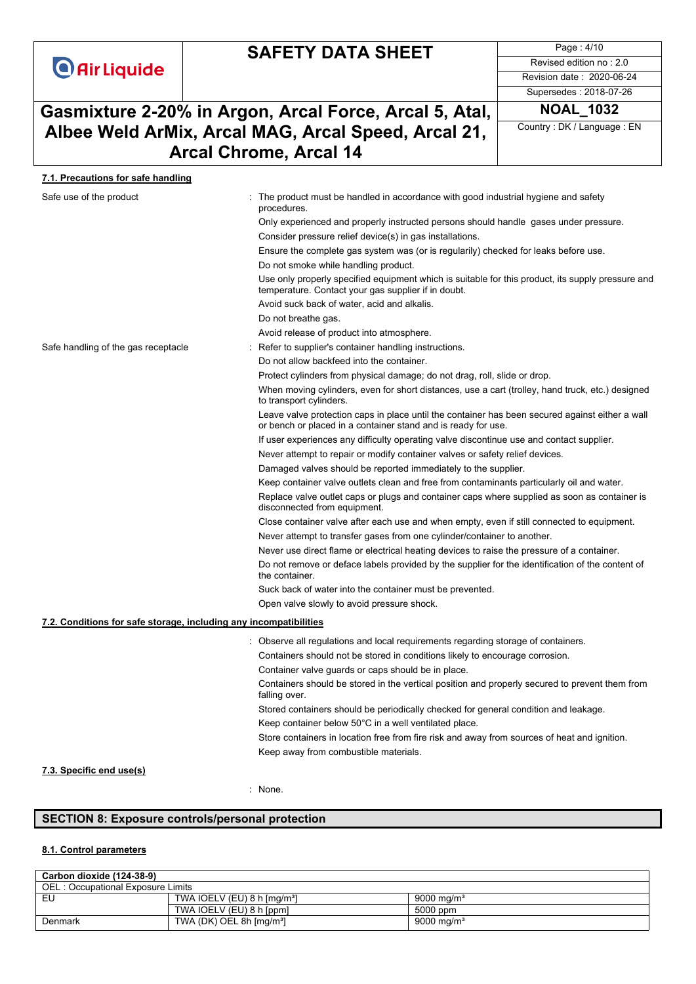# **SAFETY DATA SHEET**

Page : 4/10 Revised edition no : 2.0 Revision date : 2020-06-24

Supersedes : 2018-07-26

# **Gasmixture 2-20% in Argon, Arcal Force, Arcal 5, Atal, NOAL\_1032 Albee Weld ArMix, Arcal MAG, Arcal Speed, Arcal 21, Arcal Chrome, Arcal 14**

Country : DK / Language : EN

#### **7.1. Precautions for safe handling**

| Safe use of the product                                           | The product must be handled in accordance with good industrial hygiene and safety<br>procedures.                                                                 |
|-------------------------------------------------------------------|------------------------------------------------------------------------------------------------------------------------------------------------------------------|
|                                                                   | Only experienced and properly instructed persons should handle gases under pressure.                                                                             |
|                                                                   | Consider pressure relief device(s) in gas installations.                                                                                                         |
|                                                                   | Ensure the complete gas system was (or is regularily) checked for leaks before use.                                                                              |
|                                                                   | Do not smoke while handling product.                                                                                                                             |
|                                                                   | Use only properly specified equipment which is suitable for this product, its supply pressure and<br>temperature. Contact your gas supplier if in doubt.         |
|                                                                   | Avoid suck back of water, acid and alkalis.                                                                                                                      |
|                                                                   | Do not breathe gas.                                                                                                                                              |
|                                                                   | Avoid release of product into atmosphere.                                                                                                                        |
| Safe handling of the gas receptacle                               | Refer to supplier's container handling instructions.                                                                                                             |
|                                                                   | Do not allow backfeed into the container.                                                                                                                        |
|                                                                   | Protect cylinders from physical damage; do not drag, roll, slide or drop.                                                                                        |
|                                                                   | When moving cylinders, even for short distances, use a cart (trolley, hand truck, etc.) designed<br>to transport cylinders.                                      |
|                                                                   | Leave valve protection caps in place until the container has been secured against either a wall<br>or bench or placed in a container stand and is ready for use. |
|                                                                   | If user experiences any difficulty operating valve discontinue use and contact supplier.                                                                         |
|                                                                   | Never attempt to repair or modify container valves or safety relief devices.                                                                                     |
|                                                                   | Damaged valves should be reported immediately to the supplier.                                                                                                   |
|                                                                   | Keep container valve outlets clean and free from contaminants particularly oil and water.                                                                        |
|                                                                   | Replace valve outlet caps or plugs and container caps where supplied as soon as container is<br>disconnected from equipment.                                     |
|                                                                   | Close container valve after each use and when empty, even if still connected to equipment.                                                                       |
|                                                                   | Never attempt to transfer gases from one cylinder/container to another.                                                                                          |
|                                                                   | Never use direct flame or electrical heating devices to raise the pressure of a container.                                                                       |
|                                                                   | Do not remove or deface labels provided by the supplier for the identification of the content of<br>the container.                                               |
|                                                                   | Suck back of water into the container must be prevented.                                                                                                         |
|                                                                   | Open valve slowly to avoid pressure shock.                                                                                                                       |
| 7.2. Conditions for safe storage, including any incompatibilities |                                                                                                                                                                  |
|                                                                   | Observe all regulations and local requirements regarding storage of containers.                                                                                  |
|                                                                   | Containers should not be stored in conditions likely to encourage corrosion.                                                                                     |
|                                                                   | Container valve guards or caps should be in place.                                                                                                               |
|                                                                   | Containers should be stored in the vertical position and properly secured to prevent them from<br>falling over.                                                  |
|                                                                   | Stored containers should be periodically checked for general condition and leakage.                                                                              |
|                                                                   | Keep container below 50°C in a well ventilated place.                                                                                                            |
|                                                                   | Store containers in location free from fire risk and away from sources of heat and ignition.                                                                     |
|                                                                   | Keep away from combustible materials.                                                                                                                            |

# **7.3. Specific end use(s)**

: None.

### **SECTION 8: Exposure controls/personal protection**

#### **8.1. Control parameters**

#### **Carbon dioxide (124-38-9)**

| OEL: Occupational Exposure Limits |                                         |                        |  |  |  |
|-----------------------------------|-----------------------------------------|------------------------|--|--|--|
| EU                                | TWA IOELV (EU) 8 h [mg/m <sup>3</sup> ] | 9000 mg/m <sup>3</sup> |  |  |  |
|                                   | TWA IOELV (EU) 8 h [ppm]                | 5000 ppm               |  |  |  |
| Denmark                           | TWA (DK) OEL 8h $\text{[mq/m$^3]}$      | 9000 mg/m <sup>3</sup> |  |  |  |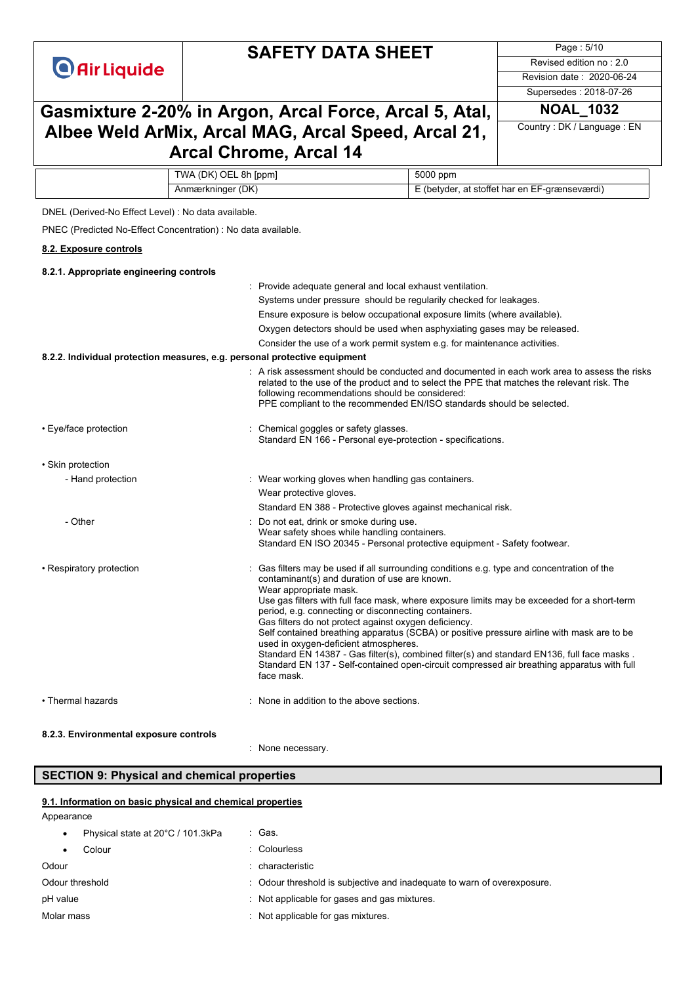## **SAFETY DATA SHEET**

Page : 5/10 Revised edition no : 2.0 Revision date : 2020-06-24

Supersedes : 2018-07-26

## **Gasmixture 2-20% in Argon, Arcal Force, Arcal 5, Atal, NOAL\_1032 Albee Weld ArMix, Arcal MAG, Arcal Speed, Arcal 21, Arcal Chrome, Arcal 14**

Country : DK / Language : EN

| TWA (DK) OEL 8h [ppm] | 5000 ppm                                      |
|-----------------------|-----------------------------------------------|
| Anmærkninger (DK)     | E (betyder, at stoffet har en EF-grænseværdi) |

DNEL (Derived-No Effect Level) : No data available.

PNEC (Predicted No-Effect Concentration) : No data available.

#### **8.2. Exposure controls**

| 8.2.1. Appropriate engineering controls                                   |                                                                                                                                                                                                                                                                                                                                                                                                                                                                                                                                                                                                                                                                                                                                      |
|---------------------------------------------------------------------------|--------------------------------------------------------------------------------------------------------------------------------------------------------------------------------------------------------------------------------------------------------------------------------------------------------------------------------------------------------------------------------------------------------------------------------------------------------------------------------------------------------------------------------------------------------------------------------------------------------------------------------------------------------------------------------------------------------------------------------------|
|                                                                           | : Provide adequate general and local exhaust ventilation.                                                                                                                                                                                                                                                                                                                                                                                                                                                                                                                                                                                                                                                                            |
|                                                                           | Systems under pressure should be regularily checked for leakages.                                                                                                                                                                                                                                                                                                                                                                                                                                                                                                                                                                                                                                                                    |
|                                                                           | Ensure exposure is below occupational exposure limits (where available).                                                                                                                                                                                                                                                                                                                                                                                                                                                                                                                                                                                                                                                             |
|                                                                           | Oxygen detectors should be used when asphyxiating gases may be released.                                                                                                                                                                                                                                                                                                                                                                                                                                                                                                                                                                                                                                                             |
|                                                                           | Consider the use of a work permit system e.g. for maintenance activities.                                                                                                                                                                                                                                                                                                                                                                                                                                                                                                                                                                                                                                                            |
| 8.2.2. Individual protection measures, e.g. personal protective equipment |                                                                                                                                                                                                                                                                                                                                                                                                                                                                                                                                                                                                                                                                                                                                      |
|                                                                           | : A risk assessment should be conducted and documented in each work area to assess the risks<br>related to the use of the product and to select the PPE that matches the relevant risk. The<br>following recommendations should be considered:<br>PPE compliant to the recommended EN/ISO standards should be selected.                                                                                                                                                                                                                                                                                                                                                                                                              |
| • Eye/face protection                                                     | Chemical goggles or safety glasses.<br>Standard EN 166 - Personal eve-protection - specifications.                                                                                                                                                                                                                                                                                                                                                                                                                                                                                                                                                                                                                                   |
| • Skin protection                                                         |                                                                                                                                                                                                                                                                                                                                                                                                                                                                                                                                                                                                                                                                                                                                      |
| - Hand protection                                                         | : Wear working gloves when handling gas containers.                                                                                                                                                                                                                                                                                                                                                                                                                                                                                                                                                                                                                                                                                  |
|                                                                           | Wear protective gloves.                                                                                                                                                                                                                                                                                                                                                                                                                                                                                                                                                                                                                                                                                                              |
|                                                                           | Standard EN 388 - Protective gloves against mechanical risk.                                                                                                                                                                                                                                                                                                                                                                                                                                                                                                                                                                                                                                                                         |
| - Other                                                                   | Do not eat, drink or smoke during use.<br>Wear safety shoes while handling containers.<br>Standard EN ISO 20345 - Personal protective equipment - Safety footwear.                                                                                                                                                                                                                                                                                                                                                                                                                                                                                                                                                                   |
| • Respiratory protection                                                  | Gas filters may be used if all surrounding conditions e.g. type and concentration of the<br>contaminant(s) and duration of use are known.<br>Wear appropriate mask.<br>Use gas filters with full face mask, where exposure limits may be exceeded for a short-term<br>period, e.g. connecting or disconnecting containers.<br>Gas filters do not protect against oxygen deficiency.<br>Self contained breathing apparatus (SCBA) or positive pressure airline with mask are to be<br>used in oxygen-deficient atmospheres.<br>Standard EN 14387 - Gas filter(s), combined filter(s) and standard EN136, full face masks.<br>Standard EN 137 - Self-contained open-circuit compressed air breathing apparatus with full<br>face mask. |
| • Thermal hazards                                                         | None in addition to the above sections.                                                                                                                                                                                                                                                                                                                                                                                                                                                                                                                                                                                                                                                                                              |
|                                                                           |                                                                                                                                                                                                                                                                                                                                                                                                                                                                                                                                                                                                                                                                                                                                      |

#### **8.2.3. Environmental exposure controls**

: None necessary.

#### **SECTION 9: Physical and chemical properties**

#### **9.1. Information on basic physical and chemical properties**

| : Gas.                                                                  |
|-------------------------------------------------------------------------|
| : Colourless                                                            |
| : characteristic                                                        |
| : Odour threshold is subjective and inadequate to warn of overexposure. |
| : Not applicable for gases and gas mixtures.                            |
| : Not applicable for gas mixtures.                                      |
|                                                                         |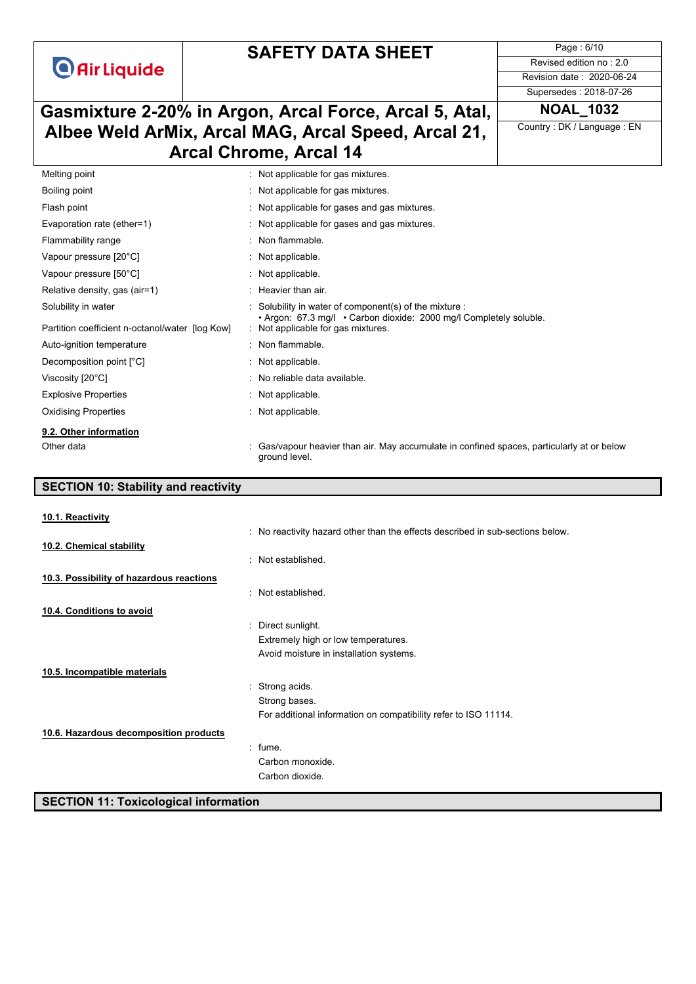## **SAFETY DATA SHEET**

Page : 6/10 Revised edition no : 2.0 Revision date : 2020-06-24

Supersedes : 2018-07-26

## **Gasmixture 2-20% in Argon, Arcal Force, Arcal 5, Atal, NOAL\_1032 Albee Weld ArMix, Arcal MAG, Arcal Speed, Arcal 21, Arcal Chrome, Arcal 14**

Country : DK / Language : EN

| Melting point                                   | : Not applicable for gas mixtures.                                                                                         |  |
|-------------------------------------------------|----------------------------------------------------------------------------------------------------------------------------|--|
| Boiling point                                   | : Not applicable for gas mixtures.                                                                                         |  |
| Flash point                                     | : Not applicable for gases and gas mixtures.                                                                               |  |
| Evaporation rate (ether=1)                      | : Not applicable for gases and gas mixtures.                                                                               |  |
| Flammability range                              | : Non flammable.                                                                                                           |  |
| Vapour pressure [20°C]                          | : Not applicable.                                                                                                          |  |
| Vapour pressure [50°C]                          | : Not applicable.                                                                                                          |  |
| Relative density, gas (air=1)                   | : Heavier than air.                                                                                                        |  |
| Solubility in water                             | Solubility in water of component(s) of the mixture :<br>• Argon: 67.3 mg/l • Carbon dioxide: 2000 mg/l Completely soluble. |  |
| Partition coefficient n-octanol/water [log Kow] | : Not applicable for gas mixtures.                                                                                         |  |
| Auto-ignition temperature                       | : Non flammable.                                                                                                           |  |
| Decomposition point [°C]                        | $:$ Not applicable.                                                                                                        |  |
| Viscosity [20°C]                                | : No reliable data available.                                                                                              |  |
| <b>Explosive Properties</b>                     | : Not applicable.                                                                                                          |  |
| <b>Oxidising Properties</b>                     | : Not applicable.                                                                                                          |  |
| 9.2. Other information                          |                                                                                                                            |  |
| Other data                                      | Gas/vapour heavier than air. May accumulate in confined spaces, particularly at or below<br>ground level.                  |  |

## **SECTION 10: Stability and reactivity** : No reactivity hazard other than the effects described in sub-sections below. : Not established. : Not established. : Direct sunlight. Extremely high or low temperatures. Avoid moisture in installation systems. : Strong acids. Strong bases. For additional information on compatibility refer to ISO 11114. : fume. Carbon monoxide. Carbon dioxide. **SECTION 11: Toxicological information 10.1. Reactivity 10.2. Chemical stability 10.3. Possibility of hazardous reactions 10.4. Conditions to avoid 10.5. Incompatible materials 10.6. Hazardous decomposition products**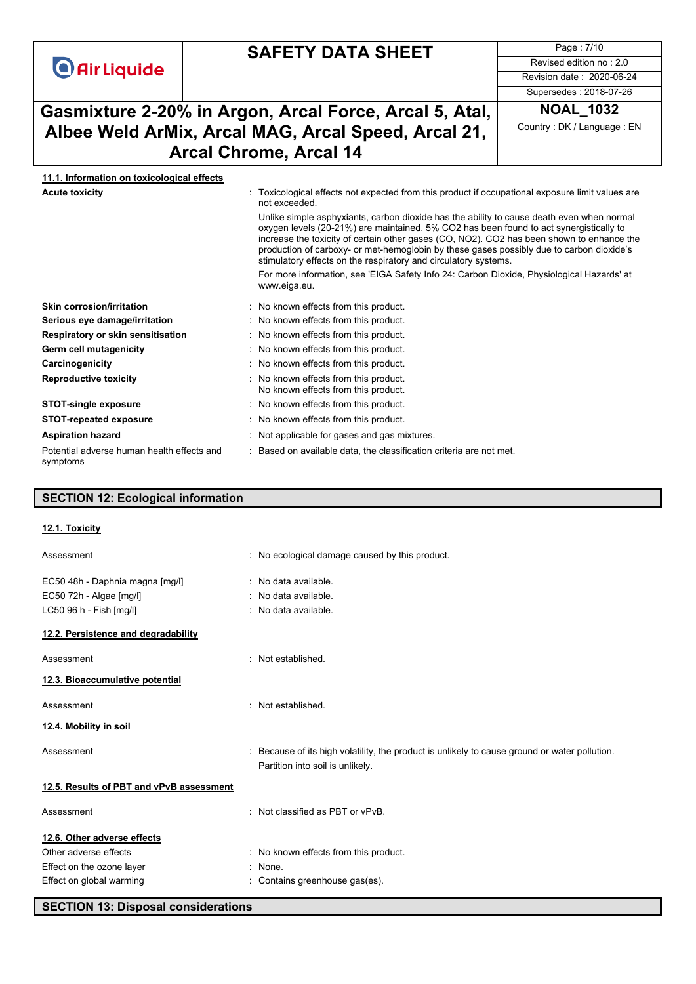## **SAFETY DATA SHEET**

Page : 7/10 Revised edition no : 2.0 Revision date : 2020-06-24

## **Gasmixture 2-20% in Argon, Arcal Force, Arcal 5, Atal, NOAL\_1032 Albee Weld ArMix, Arcal MAG, Arcal Speed, Arcal 21, Arcal Chrome, Arcal 14**

Supersedes : 2018-07-26

Country : DK / Language : EN

# **11.1. Information on toxicological effects**

| Acute toxicity | Toxicological effects not expected from this product if occupational exposure limit values are |
|----------------|------------------------------------------------------------------------------------------------|
|                | not exceeded.                                                                                  |

Unlike simple asphyxiants, carbon dioxide has the ability to cause death even when normal oxygen levels (20-21%) are maintained. 5% CO2 has been found to act synergistically to increase the toxicity of certain other gases (CO, NO2). CO2 has been shown to enhance the production of carboxy- or met-hemoglobin by these gases possibly due to carbon dioxide's stimulatory effects on the respiratory and circulatory systems.

For more information, see 'EIGA Safety Info 24: Carbon Dioxide, Physiological Hazards' at www.eiga.eu.

criteria are not met.

| Skin corrosion/irritation                              | : No known effects from this product.                                        |
|--------------------------------------------------------|------------------------------------------------------------------------------|
| Serious eye damage/irritation                          | : No known effects from this product.                                        |
| Respiratory or skin sensitisation                      | : No known effects from this product.                                        |
| Germ cell mutagenicity                                 | : No known effects from this product.                                        |
| Carcinogenicity                                        | : No known effects from this product.                                        |
| <b>Reproductive toxicity</b>                           | : No known effects from this product.<br>No known effects from this product. |
| <b>STOT-single exposure</b>                            | : No known effects from this product.                                        |
| <b>STOT-repeated exposure</b>                          | : No known effects from this product.                                        |
| <b>Aspiration hazard</b>                               | : Not applicable for gases and gas mixtures.                                 |
| Potential adverse human health effects and<br>symptoms | : Based on available data, the classification                                |

#### **SECTION 12: Ecological information**

#### **12.1. Toxicity**

| Assessment                                                 | : No ecological damage caused by this product.                                                                                  |
|------------------------------------------------------------|---------------------------------------------------------------------------------------------------------------------------------|
| EC50 48h - Daphnia magna [mg/l]<br>EC50 72h - Algae [mg/l] | : No data available.<br>No data available.                                                                                      |
| LC50 96 h - Fish [mg/l]                                    | : No data available.                                                                                                            |
| 12.2. Persistence and degradability                        |                                                                                                                                 |
| Assessment                                                 | : Not established.                                                                                                              |
| 12.3. Bioaccumulative potential                            |                                                                                                                                 |
| Assessment                                                 | : Not established.                                                                                                              |
| 12.4. Mobility in soil                                     |                                                                                                                                 |
| Assessment                                                 | Because of its high volatility, the product is unlikely to cause ground or water pollution.<br>Partition into soil is unlikely. |
| 12.5. Results of PBT and vPvB assessment                   |                                                                                                                                 |
| Assessment                                                 | : Not classified as PBT or vPvB.                                                                                                |
| 12.6. Other adverse effects                                |                                                                                                                                 |
| Other adverse effects                                      | : No known effects from this product.                                                                                           |
| Effect on the ozone layer                                  | : None.                                                                                                                         |
| Effect on global warming                                   | : Contains greenhouse gas(es).                                                                                                  |

#### **SECTION 13: Disposal considerations**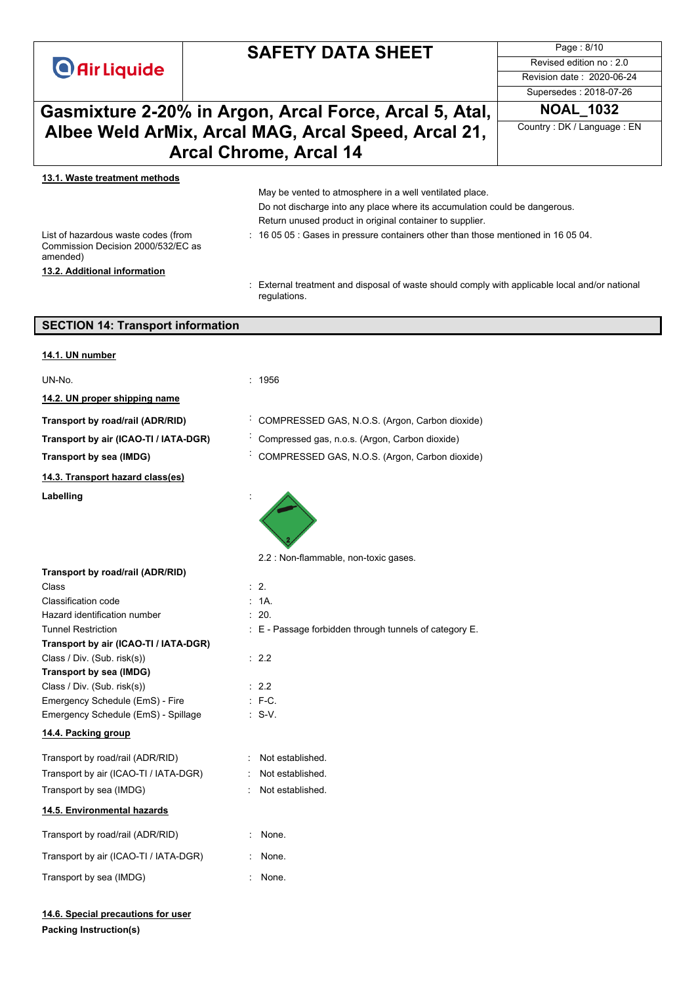|                                                                                       | <b>SAFETY DATA SHEET</b>                                                                                                                                                                                                                                                               | Page: 8/10                 |  |
|---------------------------------------------------------------------------------------|----------------------------------------------------------------------------------------------------------------------------------------------------------------------------------------------------------------------------------------------------------------------------------------|----------------------------|--|
| <b>O</b> Air Liquide                                                                  |                                                                                                                                                                                                                                                                                        | Revised edition no: 2.0    |  |
|                                                                                       |                                                                                                                                                                                                                                                                                        | Revision date: 2020-06-24  |  |
|                                                                                       |                                                                                                                                                                                                                                                                                        | Supersedes: 2018-07-26     |  |
|                                                                                       | Gasmixture 2-20% in Argon, Arcal Force, Arcal 5, Atal,                                                                                                                                                                                                                                 | <b>NOAL 1032</b>           |  |
|                                                                                       | Albee Weld ArMix, Arcal MAG, Arcal Speed, Arcal 21,                                                                                                                                                                                                                                    | Country: DK / Language: EN |  |
|                                                                                       | <b>Arcal Chrome, Arcal 14</b>                                                                                                                                                                                                                                                          |                            |  |
| 13.1. Waste treatment methods                                                         |                                                                                                                                                                                                                                                                                        |                            |  |
|                                                                                       | May be vented to atmosphere in a well ventilated place.<br>Do not discharge into any place where its accumulation could be dangerous.<br>Return unused product in original container to supplier.<br>: 16 05 05 : Gases in pressure containers other than those mentioned in 16 05 04. |                            |  |
| List of hazardous waste codes (from<br>Commission Decision 2000/532/EC as<br>amended) |                                                                                                                                                                                                                                                                                        |                            |  |
| 13.2. Additional information                                                          |                                                                                                                                                                                                                                                                                        |                            |  |
|                                                                                       | : External treatment and disposal of waste should comply with applicable local and/or national<br>regulations.                                                                                                                                                                         |                            |  |
| <b>SECTION 14: Transport information</b>                                              |                                                                                                                                                                                                                                                                                        |                            |  |
| 14.1. UN number                                                                       |                                                                                                                                                                                                                                                                                        |                            |  |
| UN-No.                                                                                | : 1956                                                                                                                                                                                                                                                                                 |                            |  |
| 14.2. UN proper shipping name                                                         |                                                                                                                                                                                                                                                                                        |                            |  |
| Transport by road/rail (ADR/RID)                                                      | COMPRESSED GAS, N.O.S. (Argon, Carbon dioxide)                                                                                                                                                                                                                                         |                            |  |
| Transport by air (ICAO-TI / IATA-DGR)                                                 | Compressed gas, n.o.s. (Argon, Carbon dioxide)                                                                                                                                                                                                                                         |                            |  |
| <b>Transport by sea (IMDG)</b>                                                        | COMPRESSED GAS, N.O.S. (Argon, Carbon dioxide)                                                                                                                                                                                                                                         |                            |  |
| 14.3. Transport hazard class(es)                                                      |                                                                                                                                                                                                                                                                                        |                            |  |
| Labelling                                                                             |                                                                                                                                                                                                                                                                                        |                            |  |
|                                                                                       | 2.2 : Non-flammable, non-toxic gases.                                                                                                                                                                                                                                                  |                            |  |
| Transport by road/rail (ADR/RID)                                                      |                                                                                                                                                                                                                                                                                        |                            |  |
| Class                                                                                 | $\therefore$ 2.                                                                                                                                                                                                                                                                        |                            |  |
| Classification code<br>Hazard identification number                                   | : 1A.<br>: 20.                                                                                                                                                                                                                                                                         |                            |  |
| <b>Tunnel Restriction</b>                                                             | $\pm$ E - Passage forbidden through tunnels of category E.                                                                                                                                                                                                                             |                            |  |
| Transport by air (ICAO-TI / IATA-DGR)                                                 |                                                                                                                                                                                                                                                                                        |                            |  |
| Class / Div. (Sub. risk(s))                                                           | : 2.2                                                                                                                                                                                                                                                                                  |                            |  |
| Transport by sea (IMDG)                                                               |                                                                                                                                                                                                                                                                                        |                            |  |
| Class / Div. (Sub. risk(s))<br>Emergency Schedule (EmS) - Fire                        | : 2.2<br>$: F-C.$                                                                                                                                                                                                                                                                      |                            |  |
| Emergency Schedule (EmS) - Spillage                                                   | $\therefore$ S-V.                                                                                                                                                                                                                                                                      |                            |  |
| 14.4. Packing group                                                                   |                                                                                                                                                                                                                                                                                        |                            |  |
| Transport by road/rail (ADR/RID)                                                      | : Not established.                                                                                                                                                                                                                                                                     |                            |  |
| Transport by air (ICAO-TI / IATA-DGR)                                                 | Not established.                                                                                                                                                                                                                                                                       |                            |  |
| Transport by sea (IMDG)                                                               | Not established.                                                                                                                                                                                                                                                                       |                            |  |
| 14.5. Environmental hazards                                                           |                                                                                                                                                                                                                                                                                        |                            |  |
| Transport by road/rail (ADR/RID)                                                      | None.                                                                                                                                                                                                                                                                                  |                            |  |
| Transport by air (ICAO-TI / IATA-DGR)                                                 | None.                                                                                                                                                                                                                                                                                  |                            |  |
| Transport by sea (IMDG)                                                               | None.                                                                                                                                                                                                                                                                                  |                            |  |

Page : 8/10

**Packing Instruction(s) 14.6. Special precautions for user**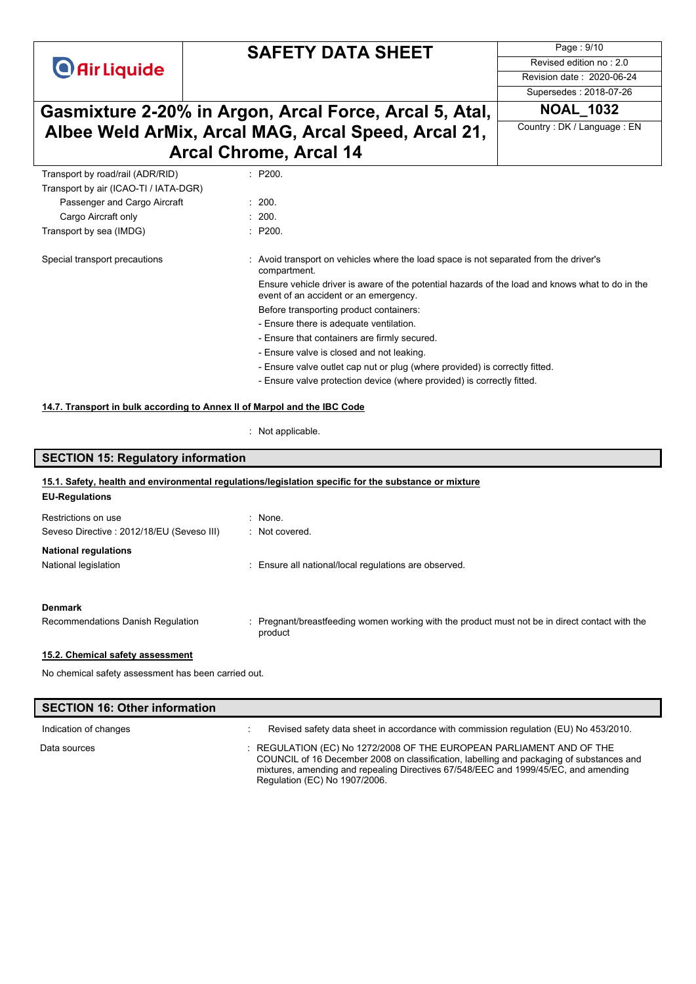## **SAFETY DATA SHEET**

Page : 9/10 Revised edition no : 2.0 Revision date : 2020-06-24

Supersedes : 2018-07-26

Country : DK / Language : EN

## **Gasmixture 2-20% in Argon, Arcal Force, Arcal 5, Atal, NOAL\_1032 Albee Weld ArMix, Arcal MAG, Arcal Speed, Arcal 21, Arcal Chrome, Arcal 14**

| Transport by road/rail (ADR/RID)      | : P200.                                                                                                                                  |  |
|---------------------------------------|------------------------------------------------------------------------------------------------------------------------------------------|--|
| Transport by air (ICAO-TI / IATA-DGR) |                                                                                                                                          |  |
| Passenger and Cargo Aircraft          | : 200.                                                                                                                                   |  |
| Cargo Aircraft only                   | : 200.                                                                                                                                   |  |
| Transport by sea (IMDG)               | : P200.                                                                                                                                  |  |
| Special transport precautions         | Avoid transport on vehicles where the load space is not separated from the driver's                                                      |  |
|                                       | compartment.                                                                                                                             |  |
|                                       | Ensure vehicle driver is aware of the potential hazards of the load and knows what to do in the<br>event of an accident or an emergency. |  |
|                                       | Before transporting product containers:                                                                                                  |  |
|                                       | - Ensure there is adequate ventilation.                                                                                                  |  |
|                                       | - Ensure that containers are firmly secured.                                                                                             |  |
|                                       | - Ensure valve is closed and not leaking.                                                                                                |  |
|                                       | - Ensure valve outlet cap nut or plug (where provided) is correctly fitted.                                                              |  |
|                                       | - Ensure valve protection device (where provided) is correctly fitted.                                                                   |  |
|                                       |                                                                                                                                          |  |

#### **14.7. Transport in bulk according to Annex II of Marpol and the IBC Code**

: Not applicable.

# **SECTION 15: Regulatory information**

#### **EU-Regulations 15.1. Safety, health and environmental regulations/legislation specific for the substance or mixture**

| Restrictions on use                                                                                             | : None.                                                                                                       |
|-----------------------------------------------------------------------------------------------------------------|---------------------------------------------------------------------------------------------------------------|
| Seveso Directive: 2012/18/EU (Seveso III)                                                                       | : Not covered.                                                                                                |
| <b>National regulations</b>                                                                                     |                                                                                                               |
| National legislation                                                                                            | : Ensure all national/local regulations are observed.                                                         |
|                                                                                                                 |                                                                                                               |
| <b>Denmark</b>                                                                                                  |                                                                                                               |
| Recommendations Danish Regulation                                                                               | Pregnant/breastfeeding women working with the product must not be in direct contact with the<br>t.<br>product |
| 15.2. Chemical safety assessment                                                                                |                                                                                                               |
| All the boundard and other concerns on the collection of a collection of the state of the state of the state of |                                                                                                               |

## No chemical safety assessment has been carried out.

I

| <b>SECTION 16: Other information</b> |                                                                                                                                                                                                                                                                                          |
|--------------------------------------|------------------------------------------------------------------------------------------------------------------------------------------------------------------------------------------------------------------------------------------------------------------------------------------|
| Indication of changes                | Revised safety data sheet in accordance with commission regulation (EU) No 453/2010.                                                                                                                                                                                                     |
| Data sources                         | : REGULATION (EC) No 1272/2008 OF THE EUROPEAN PARLIAMENT AND OF THE<br>COUNCIL of 16 December 2008 on classification, labelling and packaging of substances and<br>mixtures, amending and repealing Directives 67/548/EEC and 1999/45/EC, and amending<br>Regulation (EC) No 1907/2006. |